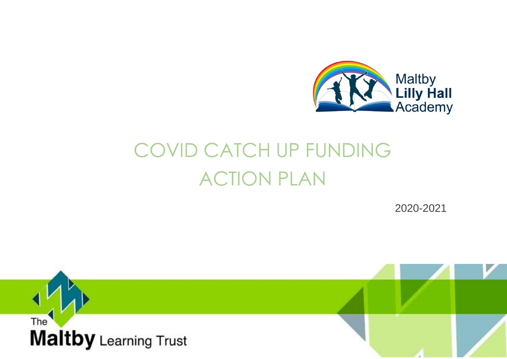

## COVID CATCH UP FUNDING ACTION PLAN

2020-2021

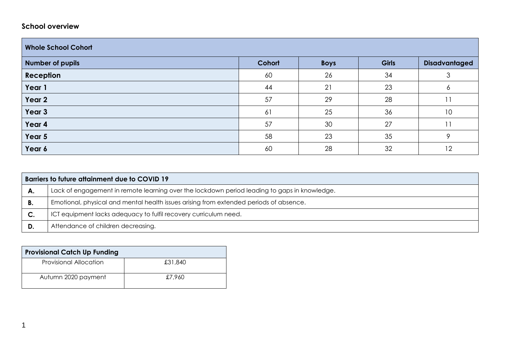## **School overview**

| <b>Whole School Cohort</b> |        |             |              |                      |  |
|----------------------------|--------|-------------|--------------|----------------------|--|
| <b>Number of pupils</b>    | Cohort | <b>Boys</b> | <b>Girls</b> | <b>Disadvantaged</b> |  |
| Reception                  | 60     | 26          | 34           | 3                    |  |
| Year 1                     | 44     | 21          | 23           | O                    |  |
| Year 2                     | 57     | 29          | 28           | 11                   |  |
| Year 3                     | 61     | 25          | 36           | 10                   |  |
| Year 4                     | 57     | 30          | 27           |                      |  |
| Year 5                     | 58     | 23          | 35           | Q                    |  |
| Year 6                     | 60     | 28          | 32           | 12                   |  |

|    | Barriers to future attainment due to COVID 19                                                |  |  |  |  |
|----|----------------------------------------------------------------------------------------------|--|--|--|--|
| А. | Lack of engagement in remote learning over the lockdown period leading to gaps in knowledge. |  |  |  |  |
|    | Emotional, physical and mental health issues arising from extended periods of absence.       |  |  |  |  |
| C. | ICT equipment lacks adequacy to fulfil recovery curriculum need.                             |  |  |  |  |
| D. | Attendance of children decreasing.                                                           |  |  |  |  |

| <b>Provisional Catch Up Funding</b> |         |
|-------------------------------------|---------|
| <b>Provisional Allocation</b>       | £31,840 |
| Autumn 2020 payment                 | £7.960  |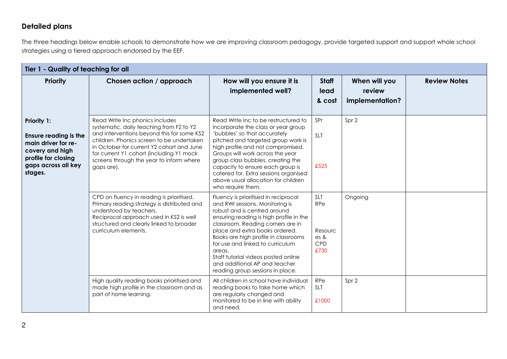## **Detailed plans**

The three headings below enable schools to demonstrate how we are improving classroom pedagogy, provide targeted support and support whole school strategies using a tiered approach endorsed by the EEF.

| Tier 1 - Quality of teaching for all                                                                                                           |                                                                                                                                                                                                                                                                                                                           |                                                                                                                                                                                                                                                                                                                                                                                                                             |                                                     |                                            |                     |  |
|------------------------------------------------------------------------------------------------------------------------------------------------|---------------------------------------------------------------------------------------------------------------------------------------------------------------------------------------------------------------------------------------------------------------------------------------------------------------------------|-----------------------------------------------------------------------------------------------------------------------------------------------------------------------------------------------------------------------------------------------------------------------------------------------------------------------------------------------------------------------------------------------------------------------------|-----------------------------------------------------|--------------------------------------------|---------------------|--|
| <b>Priority</b>                                                                                                                                | Chosen action / approach                                                                                                                                                                                                                                                                                                  | How will you ensure it is<br>implemented well?                                                                                                                                                                                                                                                                                                                                                                              | <b>Staff</b><br>lead<br>& cost                      | When will you<br>review<br>implementation? | <b>Review Notes</b> |  |
| Priority 1:<br><b>Ensure reading is the</b><br>main driver for re-<br>covery and high<br>profile for closing<br>gaps across all key<br>stages. | Read Write Inc phonics includes<br>systematic, daily teaching from F2 to Y2<br>and interventions beyond this for some KS2<br>children. Phonics screen to be undertaken<br>in October for current Y2 cohort and June<br>for current Y1 cohort (including Y1 mock<br>screens through the year to inform where<br>gaps are). | Read Write Inc to be restructured to<br>incorporate the class or year group<br>'bubbles' so that accurately<br>pitched and targeted group work is<br>high profile and not compromised.<br>Groups will work across the year<br>group class bubbles, creating the<br>capacity to ensure each group is<br>catered for. Extra sessions organised<br>above usual allocation for children<br>who require them.                    | SPr<br><b>SLT</b><br>£525                           | Spr 2                                      |                     |  |
|                                                                                                                                                | CPD on fluency in reading is prioritised.<br>Primary reading strategy is distributed and<br>understood by teachers.<br>Reciprocal approach used in KS2 is well<br>structured and clearly linked to broader<br>curriculum elements.                                                                                        | Fluency is prioritised in reciprocal<br>and RWI sessions. Monitoring is<br>robust and is centred around<br>ensuring reading is high profile in the<br>classroom. Reading corners are in<br>place and extra books ordered.<br>Books are high profile in classrooms<br>for use and linked to curriculum<br>areas.<br>Staff tutorial videos posted online<br>and additional AP and teacher<br>reading group sessions in place. | <b>SLT</b><br>RPe<br>Resourc<br>es &<br>CPD<br>£730 | Ongoing                                    |                     |  |
|                                                                                                                                                | High quality reading books prioritised and<br>made high profile in the classroom and as<br>part of home learning.                                                                                                                                                                                                         | All children in school have individual<br>reading books to take home which<br>are regularly changed and<br>monitored to be in line with ability<br>and need.                                                                                                                                                                                                                                                                | <b>RPe</b><br><b>SLT</b><br>£1000                   | Spr 2                                      |                     |  |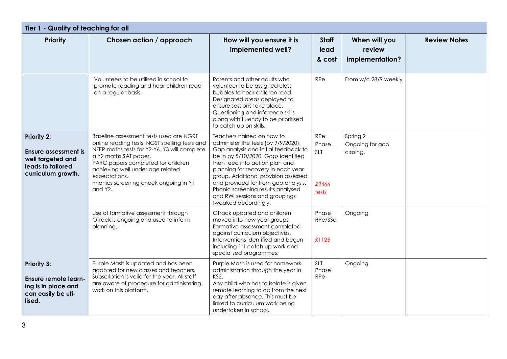| Tier 1 - Quality of teaching for all                                                                     |                                                                                                                                                                                                                                                                                                                  |                                                                                                                                                                                                                                                                                                                                                                                                        |                                                     |                                            |                     |  |  |
|----------------------------------------------------------------------------------------------------------|------------------------------------------------------------------------------------------------------------------------------------------------------------------------------------------------------------------------------------------------------------------------------------------------------------------|--------------------------------------------------------------------------------------------------------------------------------------------------------------------------------------------------------------------------------------------------------------------------------------------------------------------------------------------------------------------------------------------------------|-----------------------------------------------------|--------------------------------------------|---------------------|--|--|
| <b>Priority</b>                                                                                          | Chosen action / approach                                                                                                                                                                                                                                                                                         | How will you ensure it is<br>implemented well?                                                                                                                                                                                                                                                                                                                                                         | <b>Staff</b><br>lead<br>& cost                      | When will you<br>review<br>implementation? | <b>Review Notes</b> |  |  |
|                                                                                                          | Volunteers to be utilised in school to<br>promote reading and hear children read<br>on a regular basis.                                                                                                                                                                                                          | Parents and other adults who<br>volunteer to be assigned class<br>bubbles to hear children read.<br>Designated areas deployed to<br>ensure sessions take place.<br>Questioning and inference skills<br>along with fluency to be prioritised<br>to catch up on skills.                                                                                                                                  | <b>RPe</b>                                          | From w/c 28/9 weekly                       |                     |  |  |
| Priority 2:<br>Ensure assessment is<br>well targeted and<br>leads to tailored<br>curriculum growth.      | Baseline assessment tests used are NGRT<br>online reading tests, NGST spelling tests and<br>NFER maths tests for Y2-Y6. Y3 will complete<br>a Y2 maths SAT paper.<br>YARC papers completed for children<br>achieving well under age related<br>expectations.<br>Phonics screening check ongoing in Y1<br>and Y2. | Teachers trained on how to<br>administer the tests (by 9/9/2020).<br>Gap analysis and initial feedback to<br>be in by 5/10/2020. Gaps identified<br>then feed into action plan and<br>planning for recovery in each year<br>group. Additional provision assessed<br>and provided for from gap analysis.<br>Phonic screening results analysed<br>and RWI sessions and groupings<br>tweaked accordingly. | <b>RPe</b><br>Phase<br><b>SLT</b><br>£2466<br>tests | Spring 2<br>Ongoing for gap<br>closing.    |                     |  |  |
|                                                                                                          | Use of formative assessment through<br>OTrack is ongoing and used to inform<br>planning.                                                                                                                                                                                                                         | OTrack updated and children<br>moved into new year groups.<br>Formative assessment completed<br>against curriculum objectives.<br>Interventions identified and begun -<br>including 1:1 catch up work and<br>specialised programmes,                                                                                                                                                                   | Phase<br>RPe/SSe<br>£1125                           | Ongoing                                    |                     |  |  |
| <b>Priority 3:</b><br><b>Ensure remote learn-</b><br>ing is in place and<br>can easily be uti-<br>lised. | Purple Mash is updated and has been<br>adapted for new classes and teachers.<br>Subscription is valid for the year. All staff<br>are aware of procedure for administering<br>work on this platform.                                                                                                              | Purple Mash is used for homework<br>administration through the year in<br>KS2.<br>Any child who has to isolate is given<br>remote learning to do from the next<br>day after absence. This must be<br>linked to curriculum work being<br>undertaken in school.                                                                                                                                          | <b>SLT</b><br>Phase<br>RPe                          | Ongoing                                    |                     |  |  |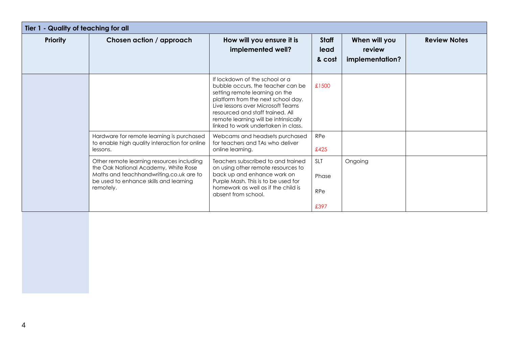| Tier 1 - Quality of teaching for all |                                                                                                                                                                                     |                                                                                                                                                                                                                                                                                                      |                                |                                            |                     |  |
|--------------------------------------|-------------------------------------------------------------------------------------------------------------------------------------------------------------------------------------|------------------------------------------------------------------------------------------------------------------------------------------------------------------------------------------------------------------------------------------------------------------------------------------------------|--------------------------------|--------------------------------------------|---------------------|--|
| <b>Priority</b>                      | Chosen action / approach                                                                                                                                                            | How will you ensure it is<br>implemented well?                                                                                                                                                                                                                                                       | <b>Staff</b><br>lead<br>& cost | When will you<br>review<br>implementation? | <b>Review Notes</b> |  |
|                                      |                                                                                                                                                                                     | If lockdown of the school or a<br>bubble occurs, the teacher can be<br>setting remote learning on the<br>platform from the next school day.<br>Live lessons over Microsoft Teams<br>resourced and staff trained. All<br>remote learning will be intrinsically<br>linked to work undertaken in class. | £1500                          |                                            |                     |  |
|                                      | Hardware for remote learning is purchased<br>to enable high quality interaction for online<br>lessons.                                                                              | Webcams and headsets purchased<br>for teachers and TAs who deliver<br>online learning.                                                                                                                                                                                                               | RPe<br>£425                    |                                            |                     |  |
|                                      | Other remote learning resources including<br>the Oak National Academy, White Rose<br>Maths and teachhandwriting.co.uk are to<br>be used to enhance skills and learning<br>remotely. | Teachers subscribed to and trained<br>on using other remote resources to<br>back up and enhance work on<br>Purple Mash. This is to be used for<br>homework as well as if the child is<br>absent from school.                                                                                         | <b>SLT</b><br>Phase<br>RPe     | Ongoing                                    |                     |  |
|                                      |                                                                                                                                                                                     |                                                                                                                                                                                                                                                                                                      | £397                           |                                            |                     |  |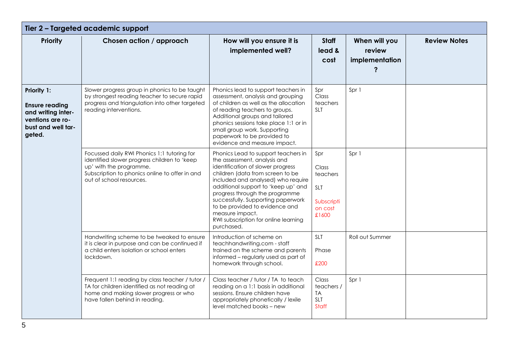| Tier 2 - Targeted academic support                                                                             |                                                                                                                                                                                                      |                                                                                                                                                                                                                                                                                                                                                                                                              |                                                                          |                                           |                     |  |
|----------------------------------------------------------------------------------------------------------------|------------------------------------------------------------------------------------------------------------------------------------------------------------------------------------------------------|--------------------------------------------------------------------------------------------------------------------------------------------------------------------------------------------------------------------------------------------------------------------------------------------------------------------------------------------------------------------------------------------------------------|--------------------------------------------------------------------------|-------------------------------------------|---------------------|--|
| <b>Priority</b>                                                                                                | Chosen action / approach                                                                                                                                                                             | How will you ensure it is<br>implemented well?                                                                                                                                                                                                                                                                                                                                                               | <b>Staff</b><br>lead &<br>cost                                           | When will you<br>review<br>implementation | <b>Review Notes</b> |  |
| Priority 1:<br><b>Ensure reading</b><br>and writing inter-<br>ventions are ro-<br>bust and well tar-<br>geted. | Slower progress group in phonics to be taught<br>by strongest reading teacher to secure rapid<br>progress and triangulation into other targeted<br>reading interventions.                            | Phonics lead to support teachers in<br>assessment, analysis and grouping<br>of children as well as the allocation<br>of reading teachers to groups.<br>Additional groups and tailored<br>phonics sessions take place 1:1 or in<br>small group work. Supporting<br>paperwork to be provided to<br>evidence and measure impact.                                                                                | Spr<br>Class<br>teachers<br><b>SLT</b>                                   | Spr 1                                     |                     |  |
|                                                                                                                | Focussed daily RWI Phonics 1:1 tutoring for<br>identified slower progress children to 'keep<br>up' with the programme.<br>Subscription to phonics online to offer in and<br>out of school resources. | Phonics Lead to support teachers in<br>the assessment, analysis and<br>identification of slower progress<br>children (data from screen to be<br>included and analysed) who require<br>additional support to 'keep up' and<br>progress through the programme<br>successfully. Supporting paperwork<br>to be provided to evidence and<br>measure impact.<br>RWI subscription for online learning<br>purchased. | Spr<br>Class<br>teachers<br><b>SLT</b><br>Subscripti<br>on cost<br>£1600 | Spr 1                                     |                     |  |
|                                                                                                                | Handwriting scheme to be tweaked to ensure<br>it is clear in purpose and can be continued if<br>a child enters isolation or school enters<br>lockdown.                                               | Introduction of scheme on<br>teachhandwriting.com - staff<br>trained on the scheme and parents<br>informed - regularly used as part of<br>homework through school.                                                                                                                                                                                                                                           | <b>SLT</b><br>Phase<br>£200                                              | Roll out Summer                           |                     |  |
|                                                                                                                | Frequent 1:1 reading by class teacher / tutor /<br>TA for children identified as not reading at<br>home and making slower progress or who<br>have fallen behind in reading.                          | Class teacher / tutor / TA to teach<br>reading on a 1:1 basis in additional<br>sessions. Ensure children have<br>appropriately phonetically / lexile<br>level matched books – new                                                                                                                                                                                                                            | Class<br>teachers /<br><b>TA</b><br><b>SLT</b><br>Staff                  | Spr 1                                     |                     |  |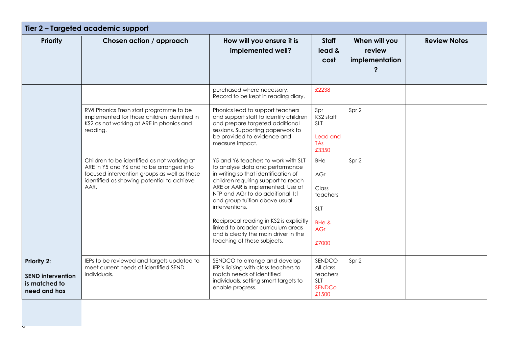| Tier 2 - Targeted academic support                                       |                                                                                                                                                                                               |                                                                                                                                                                                                                                                                                                                                                                                                                                            |                                                                                      |                                           |                     |  |
|--------------------------------------------------------------------------|-----------------------------------------------------------------------------------------------------------------------------------------------------------------------------------------------|--------------------------------------------------------------------------------------------------------------------------------------------------------------------------------------------------------------------------------------------------------------------------------------------------------------------------------------------------------------------------------------------------------------------------------------------|--------------------------------------------------------------------------------------|-------------------------------------------|---------------------|--|
| <b>Priority</b>                                                          | Chosen action / approach                                                                                                                                                                      | How will you ensure it is<br>implemented well?                                                                                                                                                                                                                                                                                                                                                                                             | <b>Staff</b><br>lead &<br>cost                                                       | When will you<br>review<br>implementation | <b>Review Notes</b> |  |
|                                                                          |                                                                                                                                                                                               | purchased where necessary.<br>Record to be kept in reading diary.                                                                                                                                                                                                                                                                                                                                                                          | £2238                                                                                |                                           |                     |  |
|                                                                          | RWI Phonics Fresh start programme to be<br>implemented for those children identified in<br>KS2 as not working at ARE in phonics and<br>reading.                                               | Phonics lead to support teachers<br>and support staff to identify children<br>and prepare targeted additional<br>sessions. Supporting paperwork to<br>be provided to evidence and<br>measure impact.                                                                                                                                                                                                                                       | Spr<br>KS2 staff<br><b>SLT</b><br>Lead and<br>TA <sub>S</sub><br>£3350               | Spr 2                                     |                     |  |
|                                                                          | Children to be identified as not working at<br>ARE in Y5 and Y6 and to be arranged into<br>focused intervention groups as well as those<br>identified as showing potential to achieve<br>AAR. | Y5 and Y6 teachers to work with SLT<br>to analyse data and performance<br>in writing so that identification of<br>children requiring support to reach<br>ARE or AAR is implemented. Use of<br>NTP and AGr to do additional 1:1<br>and group tuition above usual<br>interventions.<br>Reciprocal reading in KS2 is explicitly<br>linked to broader curriculum areas<br>and is clearly the main driver in the<br>teaching of these subjects. | <b>BHe</b><br>AGr<br>Class<br>teachers<br><b>SLT</b><br>BHe &<br><b>AGr</b><br>£7000 | Spr 2                                     |                     |  |
| Priority 2:<br><b>SEND intervention</b><br>is matched to<br>need and has | IEPs to be reviewed and targets updated to<br>meet current needs of identified SEND<br>individuals.                                                                                           | SENDCO to arrange and develop<br>IEP's liaising with class teachers to<br>match needs of identified<br>individuals, setting smart targets to<br>enable progress.                                                                                                                                                                                                                                                                           | SENDCO<br>All class<br>teachers<br><b>SLT</b><br><b>SENDCo</b><br>£1500              | Spr 2                                     |                     |  |
|                                                                          |                                                                                                                                                                                               |                                                                                                                                                                                                                                                                                                                                                                                                                                            |                                                                                      |                                           |                     |  |

l<br>U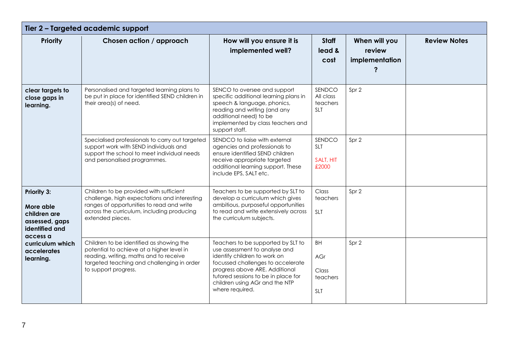| Tier 2 - Targeted academic support                                                                                                       |                                                                                                                                                                                                        |                                                                                                                                                                                                                                                                        |                                                     |                                           |                     |  |  |
|------------------------------------------------------------------------------------------------------------------------------------------|--------------------------------------------------------------------------------------------------------------------------------------------------------------------------------------------------------|------------------------------------------------------------------------------------------------------------------------------------------------------------------------------------------------------------------------------------------------------------------------|-----------------------------------------------------|-------------------------------------------|---------------------|--|--|
| <b>Priority</b>                                                                                                                          | Chosen action / approach                                                                                                                                                                               | How will you ensure it is<br>implemented well?                                                                                                                                                                                                                         | <b>Staff</b><br>lead &<br>cost                      | When will you<br>review<br>implementation | <b>Review Notes</b> |  |  |
| clear targets to<br>close gaps in<br>learning.                                                                                           | Personalised and targeted learning plans to<br>be put in place for identified SEND children in<br>their area(s) of need.                                                                               | SENCO to oversee and support<br>specific additional learning plans in<br>speech & language, phonics,<br>reading and writing (and any<br>additional need) to be<br>implemented by class teachers and<br>support staff.                                                  | SENDCO<br>All class<br>teachers<br><b>SLT</b>       | Spr 2                                     |                     |  |  |
|                                                                                                                                          | Specialised professionals to carry out targeted<br>support work with SEND individuals and<br>support the school to meet individual needs<br>and personalised programmes.                               | SENDCO to liaise with external<br>agencies and professionals to<br>ensure identified SEND children<br>receive appropriate targeted<br>additional learning support. These<br>include EPS, SALT etc.                                                                     | SENDCO<br><b>SLT</b><br>SALT, HIT<br>£2000          | Spr 2                                     |                     |  |  |
| Priority 3:<br>More able<br>children are<br>assessed, gaps<br>identified and<br>access a<br>curriculum which<br>accelerates<br>learning. | Children to be provided with sufficient<br>challenge, high expectations and interesting<br>ranges of opportunities to read and write<br>across the curriculum, including producing<br>extended pieces. | Teachers to be supported by SLT to<br>develop a curriculum which gives<br>ambitious, purposeful opportunities<br>to read and write extensively across<br>the curriculum subjects.                                                                                      | Class<br>teachers<br>SLT                            | Spr 2                                     |                     |  |  |
|                                                                                                                                          | Children to be identified as showing the<br>potential to achieve at a higher level in<br>reading, writing, maths and to receive<br>targeted teaching and challenging in order<br>to support progress.  | Teachers to be supported by SLT to<br>use assessment to analyse and<br>identify children to work on<br>focussed challenges to accelerate<br>progress above ARE. Additional<br>tutored sessions to be in place for<br>children using AGr and the NTP<br>where required. | <b>BH</b><br>AGr<br>Class<br>teachers<br><b>SLT</b> | Spr 2                                     |                     |  |  |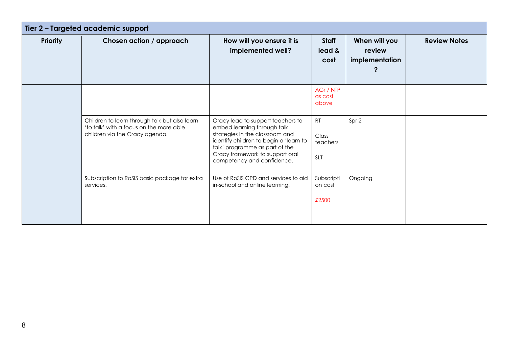| Tier 2 - Targeted academic support |                                                                                                                            |                                                                                                                                                                                                                                                  |                                |                                           |                     |  |
|------------------------------------|----------------------------------------------------------------------------------------------------------------------------|--------------------------------------------------------------------------------------------------------------------------------------------------------------------------------------------------------------------------------------------------|--------------------------------|-------------------------------------------|---------------------|--|
| <b>Priority</b>                    | Chosen action / approach                                                                                                   | How will you ensure it is<br>implemented well?                                                                                                                                                                                                   | Staff<br>lead &<br>cost        | When will you<br>review<br>implementation | <b>Review Notes</b> |  |
|                                    |                                                                                                                            |                                                                                                                                                                                                                                                  | AGr / NTP<br>as cost<br>above  |                                           |                     |  |
|                                    | Children to learn through talk but also learn<br>'to talk' with a focus on the more able<br>children via the Oracy agenda. | Oracy lead to support teachers to<br>embed learning through talk<br>strategies in the classroom and<br>identify children to begin a 'learn to<br>talk' programme as part of the<br>Oracy framework to support oral<br>competency and confidence. | RT<br>Class<br>teachers<br>SLT | Spr 2                                     |                     |  |
|                                    | Subscription to RoSIS basic package for extra<br>services.                                                                 | Use of RoSIS CPD and services to aid<br>in-school and online learning.                                                                                                                                                                           | Subscripti<br>on cost<br>£2500 | Ongoing                                   |                     |  |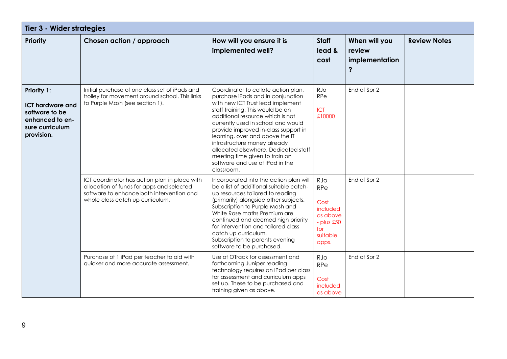| Tier 3 - Wider strategies                                                                                    |                                                                                                                                                                             |                                                                                                                                                                                                                                                                                                                                                                                                                                                                   |                                                                                                 |                                                |                     |  |
|--------------------------------------------------------------------------------------------------------------|-----------------------------------------------------------------------------------------------------------------------------------------------------------------------------|-------------------------------------------------------------------------------------------------------------------------------------------------------------------------------------------------------------------------------------------------------------------------------------------------------------------------------------------------------------------------------------------------------------------------------------------------------------------|-------------------------------------------------------------------------------------------------|------------------------------------------------|---------------------|--|
| Priority                                                                                                     | Chosen action / approach                                                                                                                                                    | How will you ensure it is<br>implemented well?                                                                                                                                                                                                                                                                                                                                                                                                                    | <b>Staff</b><br>lead &<br>cost                                                                  | When will you<br>review<br>implementation<br>? | <b>Review Notes</b> |  |
| Priority 1:<br><b>ICT hardware and</b><br>software to be<br>enhanced to en-<br>sure curriculum<br>provision. | Initial purchase of one class set of iPads and<br>trolley for movement around school. This links<br>to Purple Mash (see section 1).                                         | Coordinator to collate action plan,<br>purchase iPads and in conjunction<br>with new ICT Trust lead implement<br>staff training. This would be an<br>additional resource which is not<br>currently used in school and would<br>provide improved in-class support in<br>learning, over and above the IT<br>infrastructure money already<br>allocated elsewhere. Dedicated staff<br>meeting time given to train on<br>software and use of iPad in the<br>classroom. | RJo<br>RPe<br><b>ICT</b><br>£10000                                                              | End of Spr 2                                   |                     |  |
|                                                                                                              | ICT coordinator has action plan in place with<br>allocation of funds for apps and selected<br>software to enhance both intervention and<br>whole class catch up curriculum. | Incorporated into the action plan will<br>be a list of additional suitable catch-<br>up resources tailored to reading<br>(primarily) alongside other subjects.<br>Subscription to Purple Mash and<br>White Rose maths Premium are<br>continued and deemed high priority<br>for intervention and tailored class<br>catch up curriculum.<br>Subscription to parents evening<br>software to be purchased.                                                            | RJo<br><b>RPe</b><br>Cost<br>included<br>as above<br>$-$ plus $£50$<br>for<br>suitable<br>apps. | End of Spr 2                                   |                     |  |
|                                                                                                              | Purchase of 1 iPad per teacher to aid with<br>quicker and more accurate assessment.                                                                                         | Use of OTrack for assessment and<br>forthcoming Juniper reading<br>technology requires an iPad per class<br>for assessment and curriculum apps<br>set up. These to be purchased and<br>training given as above.                                                                                                                                                                                                                                                   | RJo<br><b>RPe</b><br>Cost<br>included<br>as above                                               | End of Spr 2                                   |                     |  |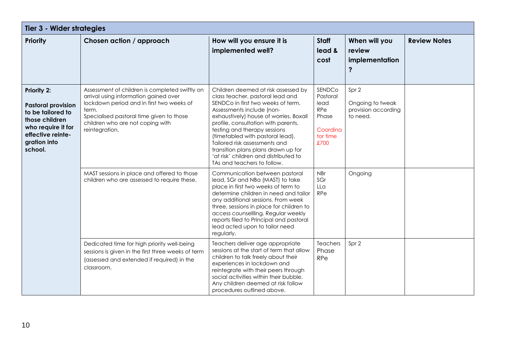| Tier 3 - Wider strategies                                                                                                                                    |                                                                                                                                                                                                                                                 |                                                                                                                                                                                                                                                                                                                                                                                                                                                 |                                                                                   |                                                              |                     |  |  |
|--------------------------------------------------------------------------------------------------------------------------------------------------------------|-------------------------------------------------------------------------------------------------------------------------------------------------------------------------------------------------------------------------------------------------|-------------------------------------------------------------------------------------------------------------------------------------------------------------------------------------------------------------------------------------------------------------------------------------------------------------------------------------------------------------------------------------------------------------------------------------------------|-----------------------------------------------------------------------------------|--------------------------------------------------------------|---------------------|--|--|
| <b>Priority</b>                                                                                                                                              | Chosen action / approach                                                                                                                                                                                                                        | How will you ensure it is<br>implemented well?                                                                                                                                                                                                                                                                                                                                                                                                  | <b>Staff</b><br>lead &<br>cost                                                    | When will you<br>review<br>implementation<br>?               | <b>Review Notes</b> |  |  |
| <b>Priority 2:</b><br><b>Pastoral provision</b><br>to be tailored to<br>those children<br>who require it for<br>effective reinte-<br>gration into<br>school. | Assessment of children is completed swiftly on<br>arrival using information gained over<br>lockdown period and in first two weeks of<br>term.<br>Specialised pastoral time given to those<br>children who are not coping with<br>reintegration. | Children deemed at risk assessed by<br>class teacher, pastoral lead and<br>SENDCo in first two weeks of term.<br>Assessments include (non-<br>exhaustively) house of worries, Boxall<br>profile, consultation with parents,<br>testing and therapy sessions<br>(timetabled with pastoral lead).<br>Tailored risk assessments and<br>transition plans plans drawn up for<br>'at risk' children and distributed to<br>TAs and teachers to follow. | SENDCo<br>Pastoral<br>lead<br><b>RPe</b><br>Phase<br>Coordina<br>tor time<br>£700 | Spr 2<br>Ongoing to tweak<br>provision according<br>to need. |                     |  |  |
|                                                                                                                                                              | MAST sessions in place and offered to those<br>children who are assessed to require these.                                                                                                                                                      | Communication between pastoral<br>lead, SGr and NBa (MAST) to take<br>place in first two weeks of term to<br>determine children in need and tailor<br>any additional sessions. From week<br>three, sessions in place for children to<br>access counsellling. Regular weekly<br>reports filed to Principal and pastoral<br>lead acted upon to tailor need<br>regularly.                                                                          | <b>NBr</b><br>SGr<br>LLa<br><b>RPe</b>                                            | Ongoing                                                      |                     |  |  |
|                                                                                                                                                              | Dedicated time for high priority well-being<br>sessions is given in the first three weeks of term<br>(assessed and extended if required) in the<br>classroom.                                                                                   | Teachers deliver age appropriate<br>sessions at the start of term that allow<br>children to talk freely about their<br>experiences in lockdown and<br>reintegrate with their peers through<br>social activities within their bubble.<br>Any children deemed at risk follow<br>procedures outlined above.                                                                                                                                        | Teachers<br>Phase<br><b>RPe</b>                                                   | Spr 2                                                        |                     |  |  |